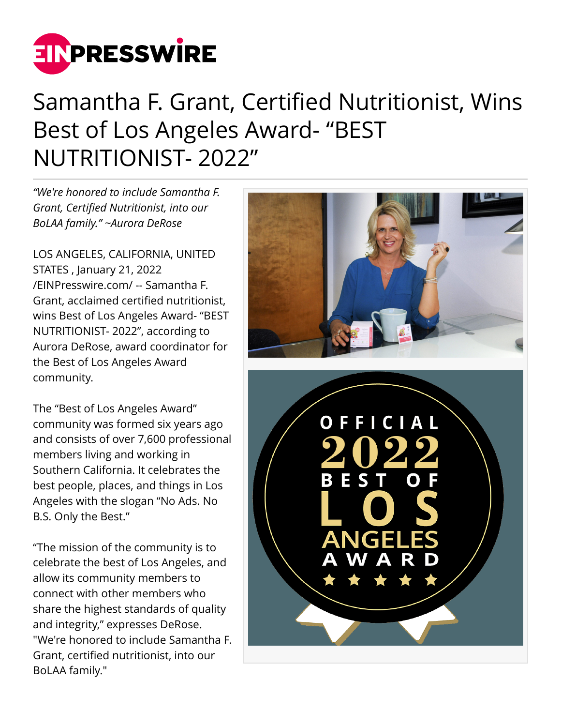

## Samantha F. Grant, Certified Nutritionist, Wins Best of Los Angeles Award- "BEST NUTRITIONIST- 2022"

*"We're honored to include Samantha F. Grant, Certified Nutritionist, into our BoLAA family." ~Aurora DeRose*

LOS ANGELES, CALIFORNIA, UNITED STATES , January 21, 2022 [/EINPresswire.com/](http://www.einpresswire.com) -- Samantha F. Grant, acclaimed certified nutritionist, wins Best of Los Angeles Award- "BEST NUTRITIONIST- 2022", according to Aurora DeRose, award coordinator for the Best of Los Angeles Award community.

The "Best of Los Angeles Award" community was formed six years ago and consists of over 7,600 professional members living and working in Southern California. It celebrates the best people, places, and things in Los Angeles with the slogan "No Ads. No B.S. Only the Best."

"The mission of the community is to celebrate the best of Los Angeles, and allow its community members to connect with other members who share the highest standards of quality and integrity," expresses DeRose. "We're honored to include Samantha F. Grant, certified nutritionist, into our BoLAA family."